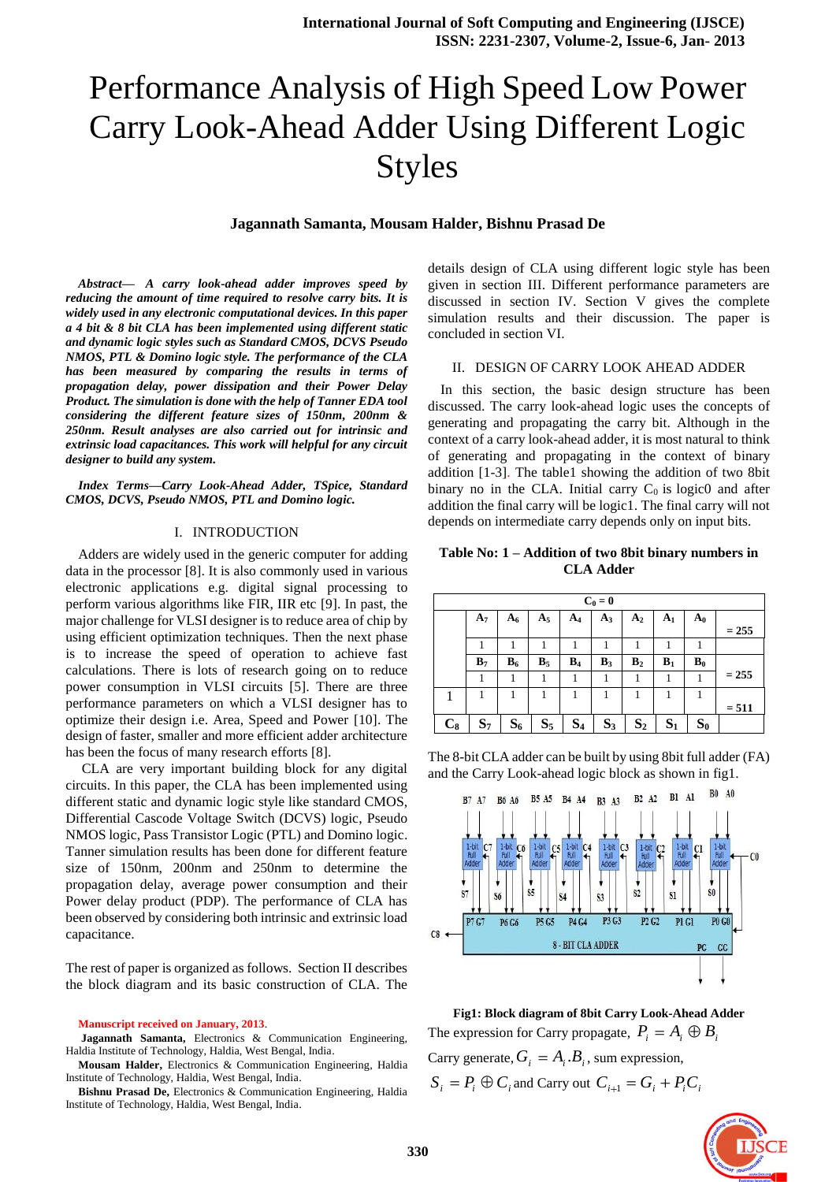# Performance Analysis of High Speed Low Power Carry Look-Ahead Adder Using Different Logic Styles

# **Jagannath Samanta, Mousam Halder, Bishnu Prasad De**

*Abstract— A carry look-ahead adder improves speed by reducing the amount of time required to resolve carry bits. It is widely used in any electronic computational devices. In this paper a 4 bit & 8 bit CLA has been implemented using different static and dynamic logic styles such as Standard CMOS, DCVS Pseudo NMOS, PTL & Domino logic style. The performance of the CLA has been measured by comparing the results in terms of propagation delay, power dissipation and their Power Delay Product. The simulation is done with the help of Tanner EDA tool considering the different feature sizes of 150nm, 200nm & 250nm. Result analyses are also carried out for intrinsic and extrinsic load capacitances. This work will helpful for any circuit designer to build any system.* 

*Index Terms—Carry Look-Ahead Adder, TSpice, Standard CMOS, DCVS, Pseudo NMOS, PTL and Domino logic.*

#### I. INTRODUCTION

Adders are widely used in the generic computer for adding data in the processor [8]. It is also commonly used in various electronic applications e.g. digital signal processing to perform various algorithms like FIR, IIR etc [9]. In past, the major challenge for VLSI designer is to reduce area of chip by using efficient optimization techniques. Then the next phase is to increase the speed of operation to achieve fast calculations. There is lots of research going on to reduce power consumption in VLSI circuits [5]. There are three performance parameters on which a VLSI designer has to optimize their design i.e. Area, Speed and Power [10]. The design of faster, smaller and more efficient adder architecture has been the focus of many research efforts [8].

CLA are very important building block for any digital circuits. In this paper, the CLA has been implemented using different static and dynamic logic style like standard CMOS, Differential Cascode Voltage Switch (DCVS) logic, Pseudo NMOS logic, Pass Transistor Logic (PTL) and Domino logic. Tanner simulation results has been done for different feature size of 150nm, 200nm and 250nm to determine the propagation delay, average power consumption and their Power delay product (PDP). The performance of CLA has been observed by considering both intrinsic and extrinsic load capacitance.

The rest of paper is organized as follows. Section II describes the block diagram and its basic construction of CLA. The

**Manuscript received on January, 2013**.

**Jagannath Samanta,** Electronics & Communication Engineering, Haldia Institute of Technology, Haldia, West Bengal, India.

**Mousam Halder,** Electronics & Communication Engineering, Haldia Institute of Technology, Haldia, West Bengal, India.

**Bishnu Prasad De,** Electronics & Communication Engineering, Haldia Institute of Technology, Haldia, West Bengal, India.

details design of CLA using different logic style has been given in section III. Different performance parameters are discussed in section IV. Section V gives the complete simulation results and their discussion. The paper is concluded in section VI.

#### II. DESIGN OF CARRY LOOK AHEAD ADDER

In this section, the basic design structure has been discussed. The carry look-ahead logic uses the concepts of generating and propagating the carry bit. Although in the context of a carry look-ahead adder, it is most natural to think of generating and propagating in the context of binary addition [1-3]. The table1 showing the addition of two 8bit binary no in the CLA. Initial carry  $C_0$  is logic0 and after addition the final carry will be logic1. The final carry will not depends on intermediate carry depends only on input bits.

## **Table No: 1 – Addition of two 8bit binary numbers in CLA Adder**

|       | $C_0 = 0$      |       |       |       |       |                |                |       |         |  |
|-------|----------------|-------|-------|-------|-------|----------------|----------------|-------|---------|--|
|       | A <sub>7</sub> | $A_6$ | $A_5$ | $A_4$ | $A_3$ | A <sub>2</sub> | A <sub>1</sub> | $A_0$ | $= 255$ |  |
|       |                |       |       |       |       |                |                |       |         |  |
|       | B <sub>7</sub> | $B_6$ | $B_5$ | $B_4$ | $B_3$ | $B_2$          | $B_1$          | $B_0$ |         |  |
|       |                |       |       |       |       |                |                |       | $= 255$ |  |
|       |                |       |       |       |       |                |                |       |         |  |
|       |                |       |       |       |       |                |                |       | $= 511$ |  |
| $C_8$ | $S_7$          | $S_6$ | $S_5$ | $S_4$ | $S_3$ | $S_2$          | $S_1$          | $S_0$ |         |  |

The 8-bit CLA adder can be built by using 8bit full adder (FA) and the Carry Look-ahead logic block as shown in fig1.



**Fig1: Block diagram of 8bit Carry Look-Ahead Adder** The expression for Carry propagate,  $P_i = A_i \oplus B_i$ 

Carry generate,  $G_i = A_i.B_i$ , sum expression,

 $S_i = P_i \oplus C_i$  and Carry out  $C_{i+1} = G_i + P_i C_i$ 

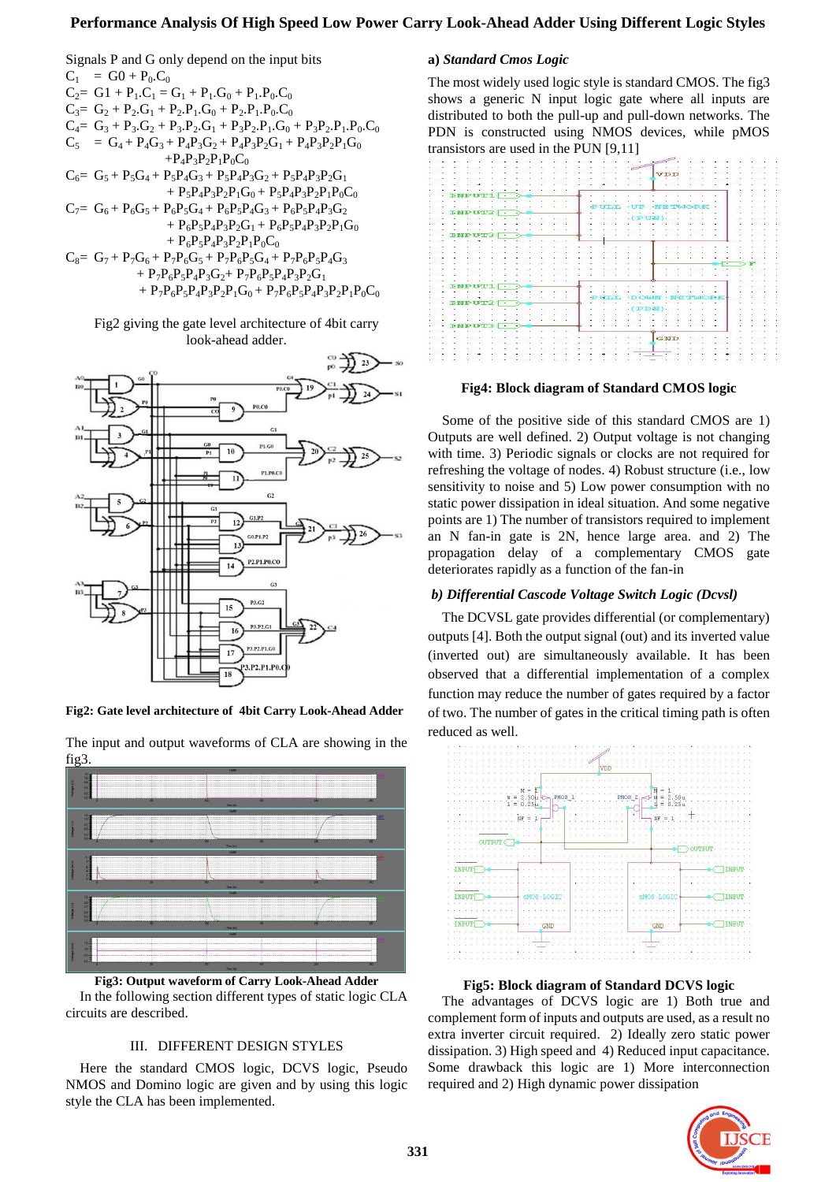# **Performance Analysis Of High Speed Low Power Carry Look-Ahead Adder Using Different Logic Styles**

Signals P and G only depend on the input bits  $C_1 = G0 + P_0.C_0$  $C_2 = G1 + P_1.C_1 = G_1 + P_1.G_0 + P_1.P_0.C_0$  $C_3 = G_2 + P_2.G_1 + P_2.P_1.G_0 + P_2.P_1.P_0.C_0$  $C_4 = G_3 + P_3.G_2 + P_3.P_2.G_1 + P_3P_2.P_1.G_0 + P_3P_2.P_1.P_0.C_0$  $C_5 = G_4 + P_4G_3 + P_4P_3G_2 + P_4P_3P_2G_1 + P_4P_3P_2P_1G_0$ + $P_4P_3P_2P_1P_0C_0$  $C_6 = G_5 + P_5G_4 + P_5P_4G_3 + P_5P_4P_3G_2 + P_5P_4P_3P_2G_1$ +  $P_5P_4P_3P_2P_1G_0 + P_5P_4P_3P_2P_1P_0C_0$  $C_7 = G_6 + P_6G_5 + P_6P_5G_4 + P_6P_5P_4G_3 + P_6P_5P_4P_3G_2$ +  $P_6P_5P_4P_3P_2G_1 + P_6P_5P_4P_3P_2P_1G_0$ +  $P_6P_5P_4P_3P_2P_1P_0C_0$  $C_8 = G_7 + P_7G_6 + P_7P_6G_5 + P_7P_6P_5G_4 + P_7P_6P_5P_4G_3$ +  $P_7P_6P_5P_4P_3G_2$  +  $P_7P_6P_5P_4P_3P_2G_1$ +  $P_7P_6P_5P_4P_3P_2P_1G_0 + P_7P_6P_5P_4P_3P_2P_1P_0C_0$ 

Fig2 giving the gate level architecture of 4bit carry look-ahead adder.



**Fig2: Gate level architecture of 4bit Carry Look-Ahead Adder** 



The input and output waveforms of CLA are showing in the fig3.

**Fig3: Output waveform of Carry Look-Ahead Adder** In the following section different types of static logic CLA circuits are described.

#### III. DIFFERENT DESIGN STYLES

Here the standard CMOS logic, DCVS logic, Pseudo NMOS and Domino logic are given and by using this logic style the CLA has been implemented.

# **a)** *Standard Cmos Logic*

The most widely used logic style is standard CMOS. The fig3 shows a generic N input logic gate where all inputs are distributed to both the pull-up and pull-down networks. The PDN is constructed using NMOS devices, while pMOS transistors are used in the PUN [9,11]



#### **Fig4: Block diagram of Standard CMOS logic**

Some of the positive side of this standard CMOS are 1) Outputs are well defined. 2) Output voltage is not changing with time. 3) Periodic signals or clocks are not required for refreshing the voltage of nodes. 4) Robust structure (i.e., low sensitivity to noise and 5) Low power consumption with no static power dissipation in ideal situation. And some negative points are 1) The number of transistors required to implement an N fan-in gate is 2N, hence large area. and 2) The propagation delay of a complementary CMOS gate deteriorates rapidly as a function of the fan-in

#### *b) Differential Cascode Voltage Switch Logic (Dcvsl)*

The DCVSL gate provides differential (or complementary) outputs [4]. Both the output signal (out) and its inverted value (inverted out) are simultaneously available. It has been observed that a differential implementation of a complex function may reduce the number of gates required by a factor of two. The number of gates in the critical timing path is often reduced as well.



**Fig5: Block diagram of Standard DCVS logic**

The advantages of DCVS logic are 1) Both true and complement form of inputs and outputs are used, as a result no extra inverter circuit required. 2) Ideally zero static power dissipation. 3) High speed and 4) Reduced input capacitance. Some drawback this logic are 1) More interconnection required and 2) High dynamic power dissipation

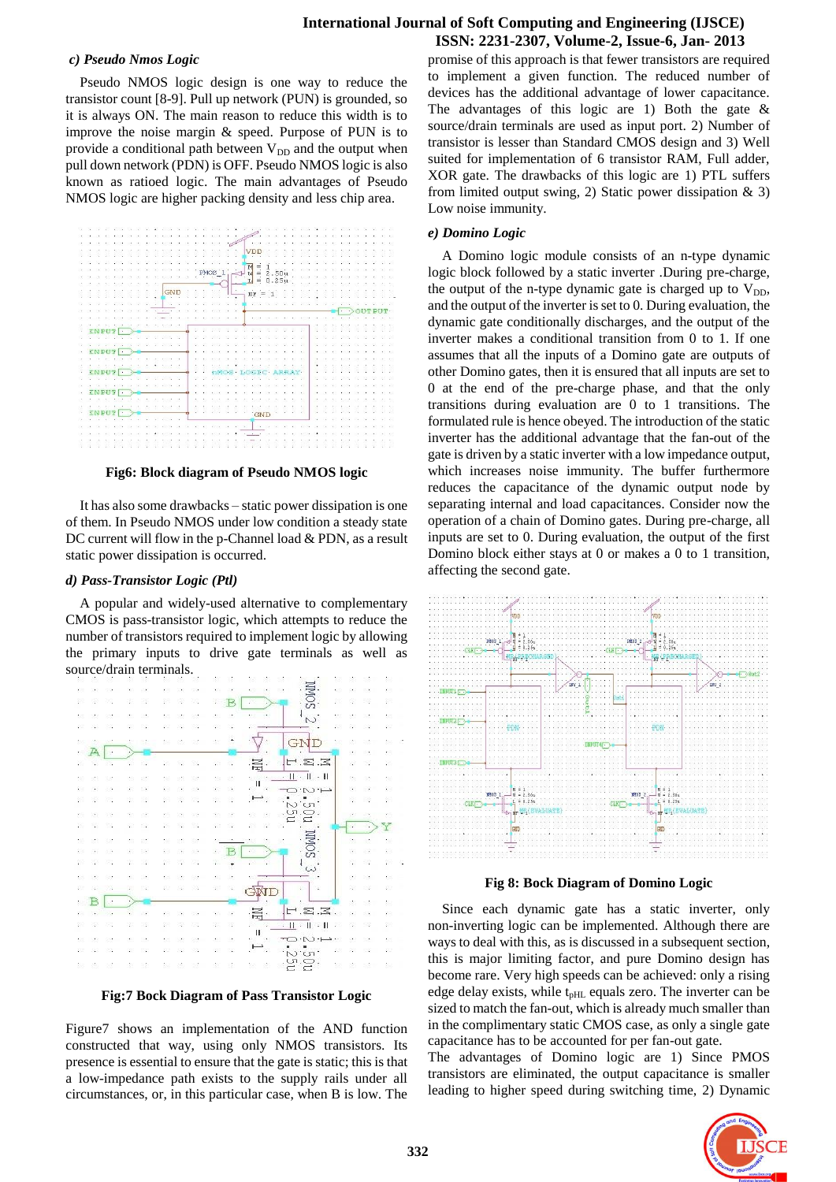# **International Journal of Soft Computing and Engineering (IJSCE) ISSN: 2231-2307, Volume-2, Issue-6, Jan- 2013**

# *c) Pseudo Nmos Logic*

Pseudo NMOS logic design is one way to reduce the transistor count [8-9]. Pull up network (PUN) is grounded, so it is always ON. The main reason to reduce this width is to improve the noise margin & speed. Purpose of PUN is to provide a conditional path between  $V_{DD}$  and the output when pull down network (PDN) is OFF. Pseudo NMOS logic is also known as ratioed logic. The main advantages of Pseudo NMOS logic are higher packing density and less chip area.



**Fig6: Block diagram of Pseudo NMOS logic**

It has also some drawbacks – static power dissipation is one of them. In Pseudo NMOS under low condition a steady state DC current will flow in the p-Channel load & PDN, as a result static power dissipation is occurred.

# *d) Pass-Transistor Logic (Ptl)*

A popular and widely-used alternative to complementary CMOS is pass-transistor logic, which attempts to reduce the number of transistors required to implement logic by allowing the primary inputs to drive gate terminals as well as source/drain terminals.



**Fig:7 Bock Diagram of Pass Transistor Logic**

Figure7 shows an implementation of the AND function constructed that way, using only NMOS transistors. Its presence is essential to ensure that the gate is static; this is that a low-impedance path exists to the supply rails under all circumstances, or, in this particular case, when B is low. The

promise of this approach is that fewer transistors are required to implement a given function. The reduced number of devices has the additional advantage of lower capacitance. The advantages of this logic are 1) Both the gate  $\&$ source/drain terminals are used as input port. 2) Number of transistor is lesser than Standard CMOS design and 3) Well suited for implementation of 6 transistor RAM, Full adder, XOR gate. The drawbacks of this logic are 1) PTL suffers from limited output swing, 2) Static power dissipation  $\&$  3) Low noise immunity.

# *e) Domino Logic*

A Domino logic module consists of an n-type dynamic logic block followed by a static inverter .During pre-charge, the output of the n-type dynamic gate is charged up to  $V_{DD}$ , and the output of the inverter is set to 0. During evaluation, the dynamic gate conditionally discharges, and the output of the inverter makes a conditional transition from 0 to 1. If one assumes that all the inputs of a Domino gate are outputs of other Domino gates, then it is ensured that all inputs are set to 0 at the end of the pre-charge phase, and that the only transitions during evaluation are 0 to 1 transitions. The formulated rule is hence obeyed. The introduction of the static inverter has the additional advantage that the fan-out of the gate is driven by a static inverter with a low impedance output, which increases noise immunity. The buffer furthermore reduces the capacitance of the dynamic output node by separating internal and load capacitances. Consider now the operation of a chain of Domino gates. During pre-charge, all inputs are set to 0. During evaluation, the output of the first Domino block either stays at 0 or makes a 0 to 1 transition, affecting the second gate.



**Fig 8: Bock Diagram of Domino Logic**

Since each dynamic gate has a static inverter, only non-inverting logic can be implemented. Although there are ways to deal with this, as is discussed in a subsequent section, this is major limiting factor, and pure Domino design has become rare. Very high speeds can be achieved: only a rising edge delay exists, while  $t<sub>pH</sub>$  equals zero. The inverter can be sized to match the fan-out, which is already much smaller than in the complimentary static CMOS case, as only a single gate capacitance has to be accounted for per fan-out gate.

The advantages of Domino logic are 1) Since PMOS transistors are eliminated, the output capacitance is smaller leading to higher speed during switching time, 2) Dynamic

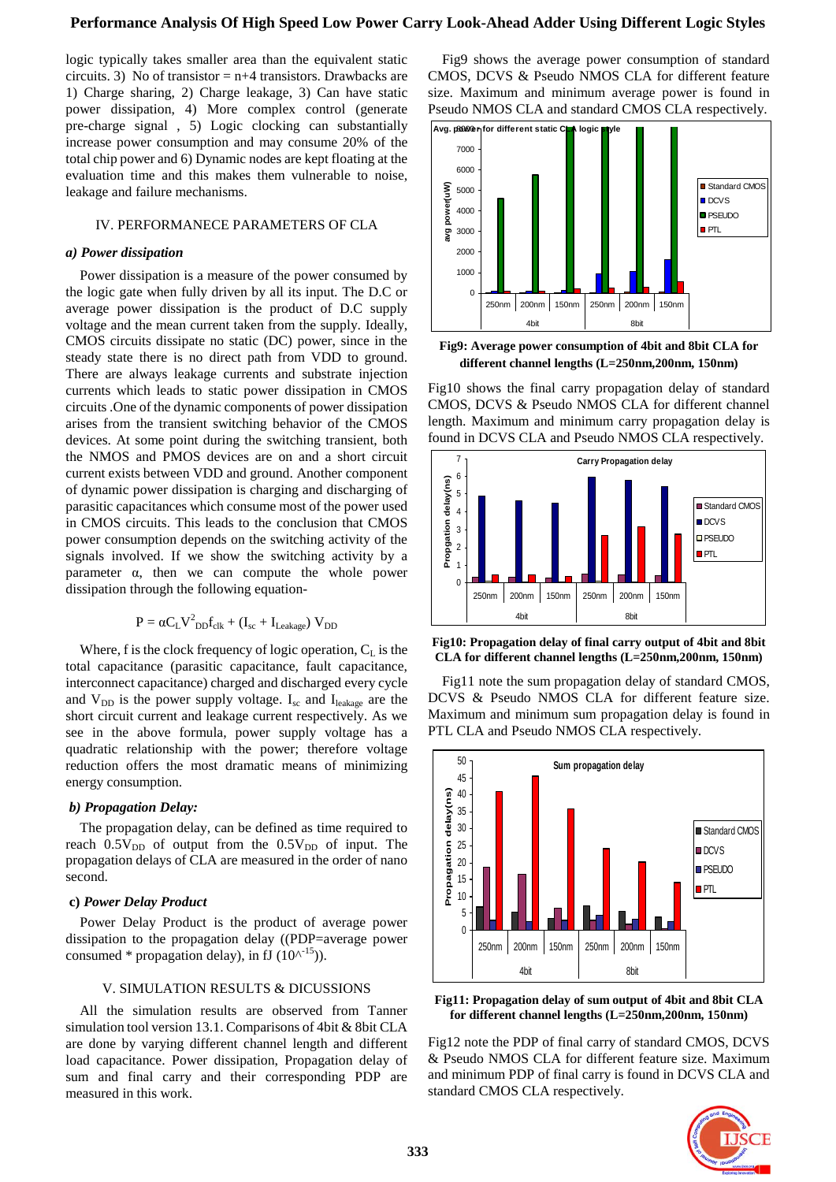# **Performance Analysis Of High Speed Low Power Carry Look-Ahead Adder Using Different Logic Styles**

logic typically takes smaller area than the equivalent static circuits. 3) No of transistor  $= n+4$  transistors. Drawbacks are 1) Charge sharing, 2) Charge leakage, 3) Can have static power dissipation, 4) More complex control (generate pre-charge signal , 5) Logic clocking can substantially increase power consumption and may consume 20% of the total chip power and 6) Dynamic nodes are kept floating at the evaluation time and this makes them vulnerable to noise, leakage and failure mechanisms.

# IV. PERFORMANECE PARAMETERS OF CLA

#### *a) Power dissipation*

Power dissipation is a measure of the power consumed by the logic gate when fully driven by all its input. The D.C or average power dissipation is the product of D.C supply voltage and the mean current taken from the supply. Ideally, CMOS circuits dissipate no static (DC) power, since in the steady state there is no direct path from VDD to ground. There are always leakage currents and substrate injection currents which leads to static power dissipation in CMOS circuits .One of the dynamic components of power dissipation arises from the transient switching behavior of the CMOS devices. At some point during the switching transient, both the NMOS and PMOS devices are on and a short circuit current exists between VDD and ground. Another component of dynamic power dissipation is charging and discharging of parasitic capacitances which consume most of the power used in CMOS circuits. This leads to the conclusion that CMOS power consumption depends on the switching activity of the signals involved. If we show the switching activity by a parameter α, then we can compute the whole power dissipation through the following equation-

$$
P = \alpha C_L V^2_{DD} f_{clk} + (I_{sc} + I_{Leakage}) V_{DD}
$$

Where, f is the clock frequency of logic operation,  $C_L$  is the total capacitance (parasitic capacitance, fault capacitance, interconnect capacitance) charged and discharged every cycle and  $V_{DD}$  is the power supply voltage. I<sub>sc</sub> and I<sub>leakage</sub> are the short circuit current and leakage current respectively. As we see in the above formula, power supply voltage has a quadratic relationship with the power; therefore voltage reduction offers the most dramatic means of minimizing energy consumption.

#### *b) Propagation Delay:*

The propagation delay, can be defined as time required to reach  $0.5V_{DD}$  of output from the  $0.5V_{DD}$  of input. The propagation delays of CLA are measured in the order of nano second.

#### **c)** *Power Delay Product*

Power Delay Product is the product of average power dissipation to the propagation delay ((PDP=average power consumed \* propagation delay), in fJ  $(10<sup>{-15}</sup>)$ .

## V. SIMULATION RESULTS & DICUSSIONS

All the simulation results are observed from Tanner simulation tool version 13.1. Comparisons of 4bit & 8bit CLA are done by varying different channel length and different load capacitance. Power dissipation, Propagation delay of sum and final carry and their corresponding PDP are measured in this work.

Fig9 shows the average power consumption of standard CMOS, DCVS & Pseudo NMOS CLA for different feature size. Maximum and minimum average power is found in Pseudo NMOS CLA and standard CMOS CLA respectively.



**Fig9: Average power consumption of 4bit and 8bit CLA for different channel lengths (L=250nm,200nm, 150nm)**

Fig10 shows the final carry propagation delay of standard CMOS, DCVS & Pseudo NMOS CLA for different channel length. Maximum and minimum carry propagation delay is found in DCVS CLA and Pseudo NMOS CLA respectively.



**Fig10: Propagation delay of final carry output of 4bit and 8bit CLA for different channel lengths (L=250nm,200nm, 150nm)**

Fig11 note the sum propagation delay of standard CMOS, DCVS & Pseudo NMOS CLA for different feature size. Maximum and minimum sum propagation delay is found in PTL CLA and Pseudo NMOS CLA respectively.



**Fig11: Propagation delay of sum output of 4bit and 8bit CLA for different channel lengths (L=250nm,200nm, 150nm)**

Fig12 note the PDP of final carry of standard CMOS, DCVS & Pseudo NMOS CLA for different feature size. Maximum and minimum PDP of final carry is found in DCVS CLA and standard CMOS CLA respectively.

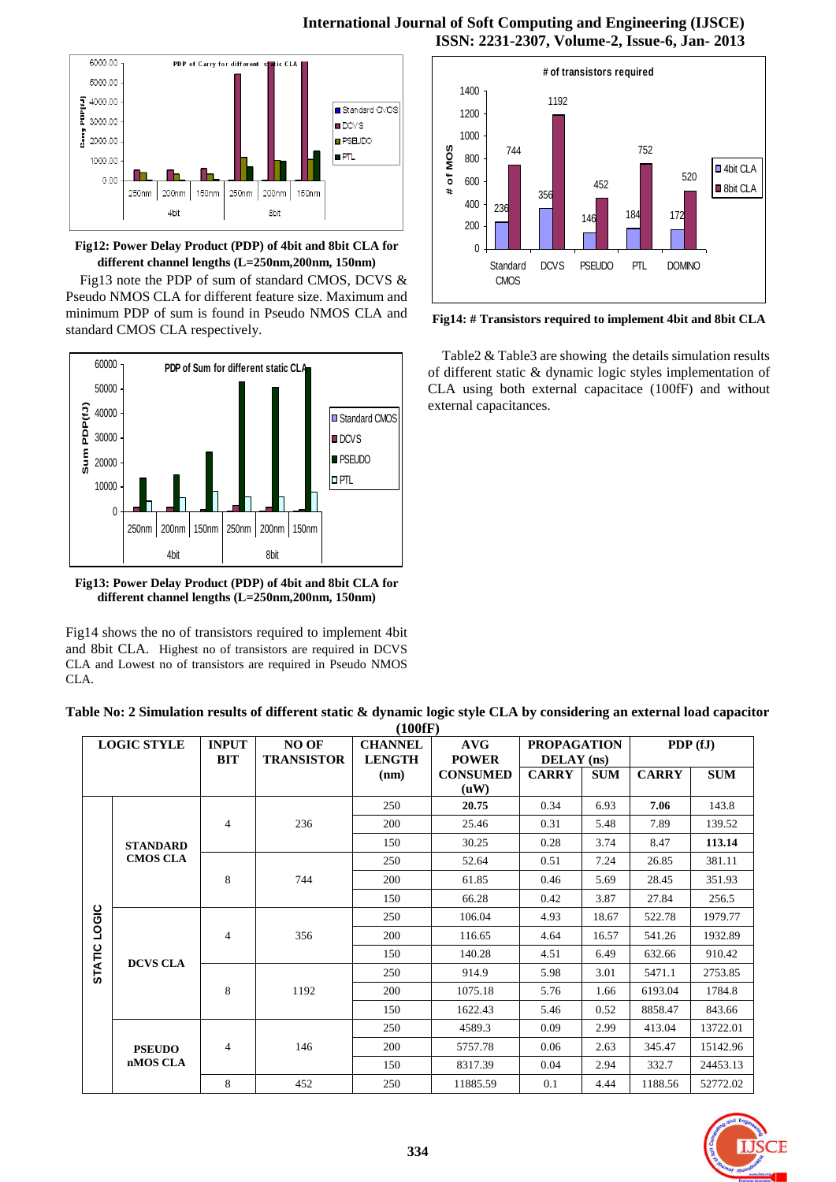

**Fig12: Power Delay Product (PDP) of 4bit and 8bit CLA for different channel lengths (L=250nm,200nm, 150nm)**

Fig13 note the PDP of sum of standard CMOS, DCVS & Pseudo NMOS CLA for different feature size. Maximum and minimum PDP of sum is found in Pseudo NMOS CLA and standard CMOS CLA respectively.



**Fig13: Power Delay Product (PDP) of 4bit and 8bit CLA for different channel lengths (L=250nm,200nm, 150nm)**

Fig14 shows the no of transistors required to implement 4bit and 8bit CLA. Highest no of transistors are required in DCVS CLA and Lowest no of transistors are required in Pseudo NMOS CLA.



**Fig14: # Transistors required to implement 4bit and 8bit CLA**

Table2 & Table3 are showing the details simulation results of different static & dynamic logic styles implementation of CLA using both external capacitace (100fF) and without external capacitances.

| Table No: 2 Simulation results of different static & dynamic logic style CLA by considering an external load capacitor |
|------------------------------------------------------------------------------------------------------------------------|
| 71 A A ATA                                                                                                             |

| (TVVIF)                |                           |              |                   |                |                 |                    |            |              |            |
|------------------------|---------------------------|--------------|-------------------|----------------|-----------------|--------------------|------------|--------------|------------|
| <b>LOGIC STYLE</b>     |                           | <b>INPUT</b> | <b>NO OF</b>      | <b>CHANNEL</b> | <b>AVG</b>      | <b>PROPAGATION</b> |            | PDP(fJ)      |            |
|                        |                           | <b>BIT</b>   | <b>TRANSISTOR</b> | <b>LENGTH</b>  | <b>POWER</b>    | DELAY (ns)         |            |              |            |
|                        |                           |              |                   | (nm)           | <b>CONSUMED</b> | <b>CARRY</b>       | <b>SUM</b> | <b>CARRY</b> | <b>SUM</b> |
|                        |                           |              |                   |                | (uW)            |                    |            |              |            |
| LOGIC<br><b>STATIC</b> |                           |              | 236               | 250            | 20.75           | 0.34               | 6.93       | 7.06         | 143.8      |
|                        |                           | 4            |                   | 200            | 25.46           | 0.31               | 5.48       | 7.89         | 139.52     |
|                        | <b>STANDARD</b>           |              |                   | 150            | 30.25           | 0.28               | 3.74       | 8.47         | 113.14     |
|                        | <b>CMOS CLA</b>           | 8            | 744               | 250            | 52.64           | 0.51               | 7.24       | 26.85        | 381.11     |
|                        |                           |              |                   | 200            | 61.85           | 0.46               | 5.69       | 28.45        | 351.93     |
|                        |                           |              |                   | 150            | 66.28           | 0.42               | 3.87       | 27.84        | 256.5      |
|                        | <b>DCVS CLA</b>           | 4            | 356               | 250            | 106.04          | 4.93               | 18.67      | 522.78       | 1979.77    |
|                        |                           |              |                   | 200            | 116.65          | 4.64               | 16.57      | 541.26       | 1932.89    |
|                        |                           |              |                   | 150            | 140.28          | 4.51               | 6.49       | 632.66       | 910.42     |
|                        |                           | 8            | 1192              | 250            | 914.9           | 5.98               | 3.01       | 5471.1       | 2753.85    |
|                        |                           |              |                   | 200            | 1075.18         | 5.76               | 1.66       | 6193.04      | 1784.8     |
|                        |                           |              |                   | 150            | 1622.43         | 5.46               | 0.52       | 8858.47      | 843.66     |
|                        | <b>PSEUDO</b><br>nMOS CLA | 4            | 146               | 250            | 4589.3          | 0.09               | 2.99       | 413.04       | 13722.01   |
|                        |                           |              |                   | 200            | 5757.78         | 0.06               | 2.63       | 345.47       | 15142.96   |
|                        |                           |              |                   | 150            | 8317.39         | 0.04               | 2.94       | 332.7        | 24453.13   |
|                        |                           | 8            | 452               | 250            | 11885.59        | 0.1                | 4.44       | 1188.56      | 52772.02   |

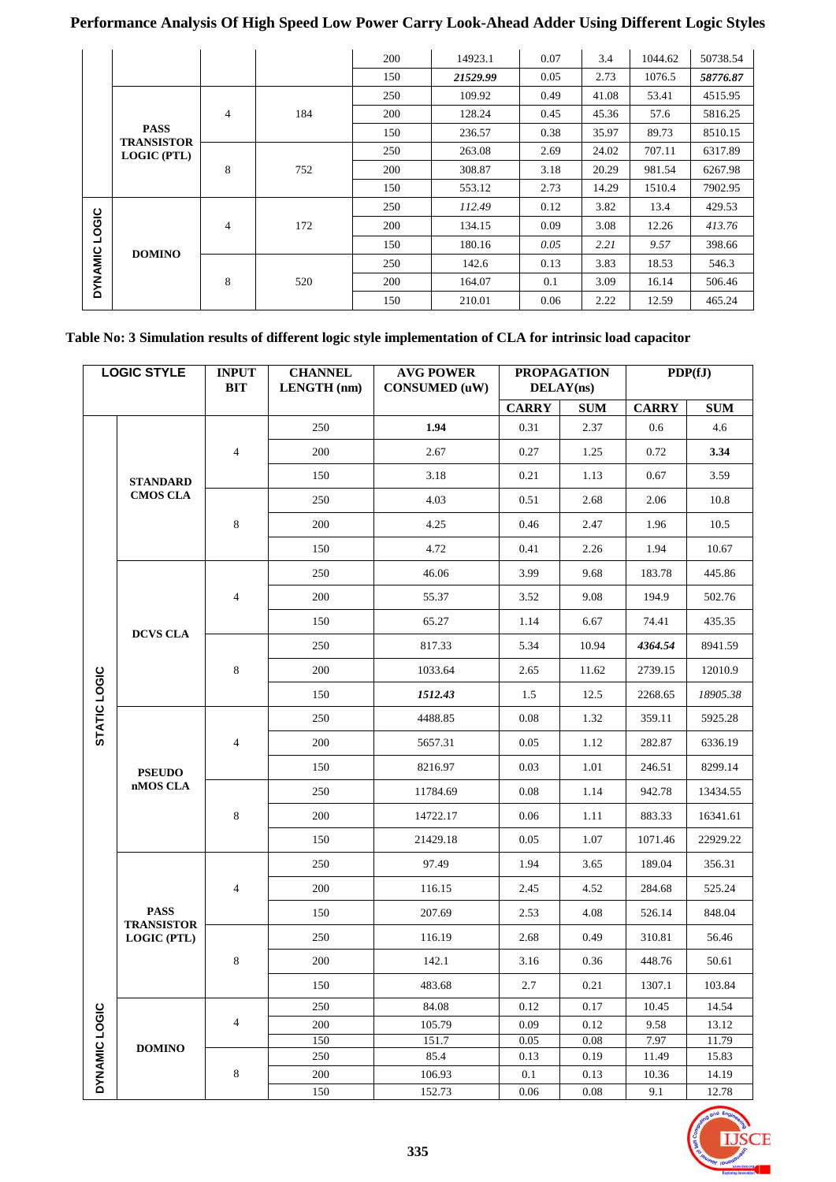# **Performance Analysis Of High Speed Low Power Carry Look-Ahead Adder Using Different Logic Styles**

|       |                                                        |   |     | 200 | 14923.1  | 0.07 | 3.4   | 1044.62 | 50738.54 |
|-------|--------------------------------------------------------|---|-----|-----|----------|------|-------|---------|----------|
|       |                                                        |   |     | 150 | 21529.99 | 0.05 | 2.73  | 1076.5  | 58776.87 |
|       |                                                        |   |     | 250 | 109.92   | 0.49 | 41.08 | 53.41   | 4515.95  |
|       | <b>PASS</b><br><b>TRANSISTOR</b><br><b>LOGIC (PTL)</b> | 4 | 184 | 200 | 128.24   | 0.45 | 45.36 | 57.6    | 5816.25  |
|       |                                                        |   |     | 150 | 236.57   | 0.38 | 35.97 | 89.73   | 8510.15  |
|       |                                                        | 8 | 752 | 250 | 263.08   | 2.69 | 24.02 | 707.11  | 6317.89  |
|       |                                                        |   |     | 200 | 308.87   | 3.18 | 20.29 | 981.54  | 6267.98  |
|       |                                                        |   |     | 150 | 553.12   | 2.73 | 14.29 | 1510.4  | 7902.95  |
|       |                                                        | 4 | 172 | 250 | 112.49   | 0.12 | 3.82  | 13.4    | 429.53   |
| LOGIC |                                                        |   |     | 200 | 134.15   | 0.09 | 3.08  | 12.26   | 413.76   |
|       | <b>DOMINO</b>                                          |   |     | 150 | 180.16   | 0.05 | 2.21  | 9.57    | 398.66   |
|       | <b>DYNAMIC</b>                                         | 8 | 520 | 250 | 142.6    | 0.13 | 3.83  | 18.53   | 546.3    |
|       |                                                        |   |     | 200 | 164.07   | 0.1  | 3.09  | 16.14   | 506.46   |
|       |                                                        |   |     | 150 | 210.01   | 0.06 | 2.22  | 12.59   | 465.24   |

| Table No: 3 Simulation results of different logic style implementation of CLA for intrinsic load capacitor |  |  |
|------------------------------------------------------------------------------------------------------------|--|--|
|                                                                                                            |  |  |

| <b>CARRY</b><br><b>CARRY</b><br><b>SUM</b><br>1.94<br>250<br>0.31<br>2.37<br>0.6<br>$\overline{4}$<br>200<br>2.67<br>0.27<br>0.72<br>1.25<br>150<br>3.18<br>0.21<br>0.67<br>1.13<br><b>STANDARD</b><br><b>CMOS CLA</b><br>4.03<br>250<br>2.06<br>0.51<br>2.68<br>$\,8\,$<br>200<br>4.25<br>0.46<br>2.47<br>1.96<br>4.72<br>150<br>0.41<br>2.26<br>1.94<br>3.99<br>250<br>46.06<br>9.68<br>183.78<br>$\overline{4}$<br>200<br>55.37<br>3.52<br>9.08<br>194.9<br>150<br>65.27<br>1.14<br>6.67<br>74.41<br><b>DCVS CLA</b><br>250<br>817.33<br>5.34<br>10.94<br>4364.54<br>$\,8\,$<br>200<br>1033.64<br>2.65<br>2739.15 | PDP(fJ)                  |  |
|----------------------------------------------------------------------------------------------------------------------------------------------------------------------------------------------------------------------------------------------------------------------------------------------------------------------------------------------------------------------------------------------------------------------------------------------------------------------------------------------------------------------------------------------------------------------------------------------------------------------|--------------------------|--|
|                                                                                                                                                                                                                                                                                                                                                                                                                                                                                                                                                                                                                      | $\pmb{\quad \text{SUM}}$ |  |
|                                                                                                                                                                                                                                                                                                                                                                                                                                                                                                                                                                                                                      | 4.6                      |  |
|                                                                                                                                                                                                                                                                                                                                                                                                                                                                                                                                                                                                                      | 3.34                     |  |
|                                                                                                                                                                                                                                                                                                                                                                                                                                                                                                                                                                                                                      | 3.59                     |  |
|                                                                                                                                                                                                                                                                                                                                                                                                                                                                                                                                                                                                                      | 10.8                     |  |
|                                                                                                                                                                                                                                                                                                                                                                                                                                                                                                                                                                                                                      | 10.5                     |  |
|                                                                                                                                                                                                                                                                                                                                                                                                                                                                                                                                                                                                                      | 10.67                    |  |
|                                                                                                                                                                                                                                                                                                                                                                                                                                                                                                                                                                                                                      | 445.86                   |  |
|                                                                                                                                                                                                                                                                                                                                                                                                                                                                                                                                                                                                                      | 502.76                   |  |
|                                                                                                                                                                                                                                                                                                                                                                                                                                                                                                                                                                                                                      | 435.35                   |  |
|                                                                                                                                                                                                                                                                                                                                                                                                                                                                                                                                                                                                                      | 8941.59                  |  |
| 11.62                                                                                                                                                                                                                                                                                                                                                                                                                                                                                                                                                                                                                | 12010.9                  |  |
| 150<br>1512.43<br>1.5<br>12.5<br>2268.65                                                                                                                                                                                                                                                                                                                                                                                                                                                                                                                                                                             | 18905.38                 |  |
| STATIC LOGIC<br>250<br>4488.85<br>0.08<br>359.11<br>1.32                                                                                                                                                                                                                                                                                                                                                                                                                                                                                                                                                             | 5925.28                  |  |
| $\overline{4}$<br>200<br>0.05<br>1.12<br>282.87<br>5657.31                                                                                                                                                                                                                                                                                                                                                                                                                                                                                                                                                           | 6336.19                  |  |
| 150<br>8216.97<br>0.03<br>1.01<br>246.51<br><b>PSEUDO</b>                                                                                                                                                                                                                                                                                                                                                                                                                                                                                                                                                            | 8299.14                  |  |
| nMOS CLA<br>250<br>11784.69<br>0.08<br>1.14<br>942.78                                                                                                                                                                                                                                                                                                                                                                                                                                                                                                                                                                | 13434.55                 |  |
| $\,8\,$<br>200<br>14722.17<br>0.06<br>1.11<br>883.33                                                                                                                                                                                                                                                                                                                                                                                                                                                                                                                                                                 | 16341.61                 |  |
| 21429.18<br>0.05<br>1.07<br>150<br>1071.46                                                                                                                                                                                                                                                                                                                                                                                                                                                                                                                                                                           | 22929.22                 |  |
| 250<br>97.49<br>1.94<br>3.65<br>189.04                                                                                                                                                                                                                                                                                                                                                                                                                                                                                                                                                                               | 356.31                   |  |
| $\overline{4}$<br>200<br>116.15<br>2.45<br>4.52<br>284.68                                                                                                                                                                                                                                                                                                                                                                                                                                                                                                                                                            | 525.24                   |  |
| <b>PASS</b><br>150<br>207.69<br>2.53<br>4.08<br>526.14                                                                                                                                                                                                                                                                                                                                                                                                                                                                                                                                                               | 848.04                   |  |
| <b>TRANSISTOR</b><br>250<br>116.19<br>2.68<br>0.49<br>310.81<br>LOGIC (PTL)                                                                                                                                                                                                                                                                                                                                                                                                                                                                                                                                          | 56.46                    |  |
| $\,8\,$<br>200<br>142.1<br>3.16<br>448.76<br>0.36                                                                                                                                                                                                                                                                                                                                                                                                                                                                                                                                                                    | 50.61                    |  |
| 483.68<br>$2.7\,$<br>0.21<br>1307.1<br>150                                                                                                                                                                                                                                                                                                                                                                                                                                                                                                                                                                           | 103.84                   |  |
| 250<br>84.08<br>0.12<br>0.17<br>10.45                                                                                                                                                                                                                                                                                                                                                                                                                                                                                                                                                                                | 14.54                    |  |
| $\overline{4}$<br>200<br>105.79<br>0.09<br>0.12<br>9.58                                                                                                                                                                                                                                                                                                                                                                                                                                                                                                                                                              | 13.12                    |  |
| 151.7<br>150<br>0.05<br>0.08<br>7.97<br><b>DOMINO</b>                                                                                                                                                                                                                                                                                                                                                                                                                                                                                                                                                                | 11.79                    |  |
| 250<br>85.4<br>0.13<br>0.19<br>11.49                                                                                                                                                                                                                                                                                                                                                                                                                                                                                                                                                                                 | 15.83                    |  |
| DYNAMIC LOGIC<br>8<br>200<br>106.93<br>0.1<br>0.13<br>10.36<br>150<br>152.73<br>0.06<br>9.1<br>0.08                                                                                                                                                                                                                                                                                                                                                                                                                                                                                                                  | 14.19<br>12.78           |  |